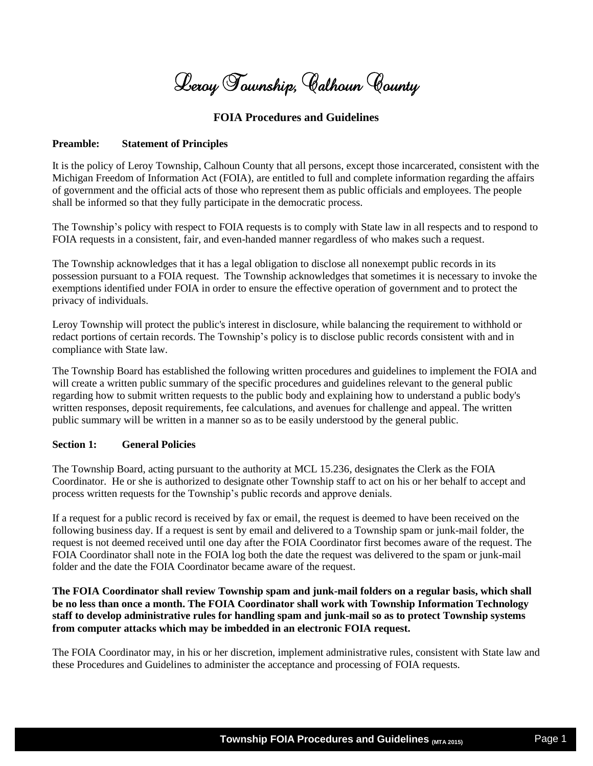Leroy Township, Calhoun County

# **FOIA Procedures and Guidelines**

#### **Preamble: Statement of Principles**

It is the policy of Leroy Township, Calhoun County that all persons, except those incarcerated, consistent with the Michigan Freedom of Information Act (FOIA), are entitled to full and complete information regarding the affairs of government and the official acts of those who represent them as public officials and employees. The people shall be informed so that they fully participate in the democratic process.

The Township's policy with respect to FOIA requests is to comply with State law in all respects and to respond to FOIA requests in a consistent, fair, and even-handed manner regardless of who makes such a request.

The Township acknowledges that it has a legal obligation to disclose all nonexempt public records in its possession pursuant to a FOIA request. The Township acknowledges that sometimes it is necessary to invoke the exemptions identified under FOIA in order to ensure the effective operation of government and to protect the privacy of individuals.

Leroy Township will protect the public's interest in disclosure, while balancing the requirement to withhold or redact portions of certain records. The Township's policy is to disclose public records consistent with and in compliance with State law.

The Township Board has established the following written procedures and guidelines to implement the FOIA and will create a written public summary of the specific procedures and guidelines relevant to the general public regarding how to submit written requests to the public body and explaining how to understand a public body's written responses, deposit requirements, fee calculations, and avenues for challenge and appeal. The written public summary will be written in a manner so as to be easily understood by the general public.

# **Section 1: General Policies**

The Township Board, acting pursuant to the authority at MCL 15.236, designates the Clerk as the FOIA Coordinator. He or she is authorized to designate other Township staff to act on his or her behalf to accept and process written requests for the Township's public records and approve denials.

If a request for a public record is received by fax or email, the request is deemed to have been received on the following business day. If a request is sent by email and delivered to a Township spam or junk-mail folder, the request is not deemed received until one day after the FOIA Coordinator first becomes aware of the request. The FOIA Coordinator shall note in the FOIA log both the date the request was delivered to the spam or junk-mail folder and the date the FOIA Coordinator became aware of the request.

**The FOIA Coordinator shall review Township spam and junk-mail folders on a regular basis, which shall be no less than once a month. The FOIA Coordinator shall work with Township Information Technology staff to develop administrative rules for handling spam and junk-mail so as to protect Township systems from computer attacks which may be imbedded in an electronic FOIA request.**

The FOIA Coordinator may, in his or her discretion, implement administrative rules, consistent with State law and these Procedures and Guidelines to administer the acceptance and processing of FOIA requests.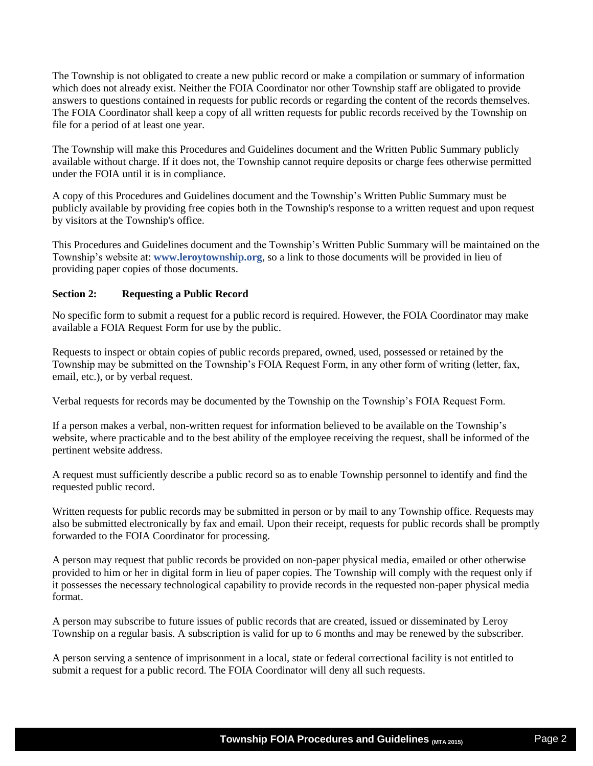The Township is not obligated to create a new public record or make a compilation or summary of information which does not already exist. Neither the FOIA Coordinator nor other Township staff are obligated to provide answers to questions contained in requests for public records or regarding the content of the records themselves. The FOIA Coordinator shall keep a copy of all written requests for public records received by the Township on file for a period of at least one year.

The Township will make this Procedures and Guidelines document and the Written Public Summary publicly available without charge. If it does not, the Township cannot require deposits or charge fees otherwise permitted under the FOIA until it is in compliance.

A copy of this Procedures and Guidelines document and the Township's Written Public Summary must be publicly available by providing free copies both in the Township's response to a written request and upon request by visitors at the Township's office.

This Procedures and Guidelines document and the Township's Written Public Summary will be maintained on the Township's website at: **www.leroytownship.org**, so a link to those documents will be provided in lieu of providing paper copies of those documents.

# **Section 2: Requesting a Public Record**

No specific form to submit a request for a public record is required. However, the FOIA Coordinator may make available a FOIA Request Form for use by the public.

Requests to inspect or obtain copies of public records prepared, owned, used, possessed or retained by the Township may be submitted on the Township's FOIA Request Form, in any other form of writing (letter, fax, email, etc.), or by verbal request.

Verbal requests for records may be documented by the Township on the Township's FOIA Request Form.

If a person makes a verbal, non-written request for information believed to be available on the Township's website, where practicable and to the best ability of the employee receiving the request, shall be informed of the pertinent website address.

A request must sufficiently describe a public record so as to enable Township personnel to identify and find the requested public record.

Written requests for public records may be submitted in person or by mail to any Township office. Requests may also be submitted electronically by fax and email. Upon their receipt, requests for public records shall be promptly forwarded to the FOIA Coordinator for processing.

A person may request that public records be provided on non-paper physical media, emailed or other otherwise provided to him or her in digital form in lieu of paper copies. The Township will comply with the request only if it possesses the necessary technological capability to provide records in the requested non-paper physical media format.

A person may subscribe to future issues of public records that are created, issued or disseminated by Leroy Township on a regular basis. A subscription is valid for up to 6 months and may be renewed by the subscriber.

A person serving a sentence of imprisonment in a local, state or federal correctional facility is not entitled to submit a request for a public record. The FOIA Coordinator will deny all such requests.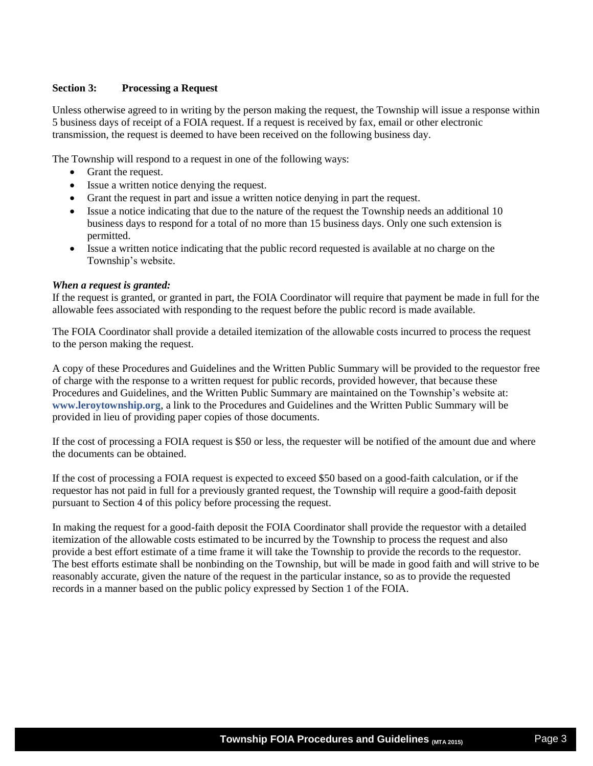# **Section 3: Processing a Request**

Unless otherwise agreed to in writing by the person making the request, the Township will issue a response within 5 business days of receipt of a FOIA request. If a request is received by fax, email or other electronic transmission, the request is deemed to have been received on the following business day.

The Township will respond to a request in one of the following ways:

- Grant the request.
- Issue a written notice denying the request.
- Grant the request in part and issue a written notice denying in part the request.
- Issue a notice indicating that due to the nature of the request the Township needs an additional 10 business days to respond for a total of no more than 15 business days. Only one such extension is permitted.
- Issue a written notice indicating that the public record requested is available at no charge on the Township's website.

#### *When a request is granted:*

If the request is granted, or granted in part, the FOIA Coordinator will require that payment be made in full for the allowable fees associated with responding to the request before the public record is made available.

The FOIA Coordinator shall provide a detailed itemization of the allowable costs incurred to process the request to the person making the request.

A copy of these Procedures and Guidelines and the Written Public Summary will be provided to the requestor free of charge with the response to a written request for public records, provided however, that because these Procedures and Guidelines, and the Written Public Summary are maintained on the Township's website at: **www.leroytownship.org**, a link to the Procedures and Guidelines and the Written Public Summary will be provided in lieu of providing paper copies of those documents.

If the cost of processing a FOIA request is \$50 or less, the requester will be notified of the amount due and where the documents can be obtained.

If the cost of processing a FOIA request is expected to exceed \$50 based on a good-faith calculation, or if the requestor has not paid in full for a previously granted request, the Township will require a good-faith deposit pursuant to Section 4 of this policy before processing the request.

In making the request for a good-faith deposit the FOIA Coordinator shall provide the requestor with a detailed itemization of the allowable costs estimated to be incurred by the Township to process the request and also provide a best effort estimate of a time frame it will take the Township to provide the records to the requestor. The best efforts estimate shall be nonbinding on the Township, but will be made in good faith and will strive to be reasonably accurate, given the nature of the request in the particular instance, so as to provide the requested records in a manner based on the public policy expressed by Section 1 of the FOIA.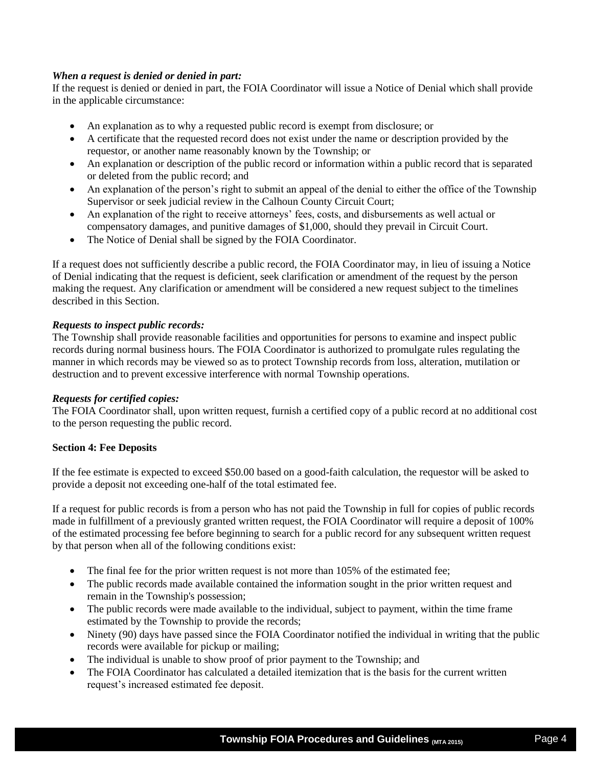# *When a request is denied or denied in part:*

If the request is denied or denied in part, the FOIA Coordinator will issue a Notice of Denial which shall provide in the applicable circumstance:

- An explanation as to why a requested public record is exempt from disclosure; or
- A certificate that the requested record does not exist under the name or description provided by the requestor, or another name reasonably known by the Township; or
- An explanation or description of the public record or information within a public record that is separated or deleted from the public record; and
- An explanation of the person's right to submit an appeal of the denial to either the office of the Township Supervisor or seek judicial review in the Calhoun County Circuit Court;
- An explanation of the right to receive attorneys' fees, costs, and disbursements as well actual or compensatory damages, and punitive damages of \$1,000, should they prevail in Circuit Court.
- The Notice of Denial shall be signed by the FOIA Coordinator.

If a request does not sufficiently describe a public record, the FOIA Coordinator may, in lieu of issuing a Notice of Denial indicating that the request is deficient, seek clarification or amendment of the request by the person making the request. Any clarification or amendment will be considered a new request subject to the timelines described in this Section.

# *Requests to inspect public records:*

The Township shall provide reasonable facilities and opportunities for persons to examine and inspect public records during normal business hours. The FOIA Coordinator is authorized to promulgate rules regulating the manner in which records may be viewed so as to protect Township records from loss, alteration, mutilation or destruction and to prevent excessive interference with normal Township operations.

# *Requests for certified copies:*

The FOIA Coordinator shall, upon written request, furnish a certified copy of a public record at no additional cost to the person requesting the public record.

# **Section 4: Fee Deposits**

If the fee estimate is expected to exceed \$50.00 based on a good-faith calculation, the requestor will be asked to provide a deposit not exceeding one-half of the total estimated fee.

If a request for public records is from a person who has not paid the Township in full for copies of public records made in fulfillment of a previously granted written request, the FOIA Coordinator will require a deposit of 100% of the estimated processing fee before beginning to search for a public record for any subsequent written request by that person when all of the following conditions exist:

- The final fee for the prior written request is not more than 105% of the estimated fee;
- The public records made available contained the information sought in the prior written request and remain in the Township's possession;
- The public records were made available to the individual, subject to payment, within the time frame estimated by the Township to provide the records;
- Ninety (90) days have passed since the FOIA Coordinator notified the individual in writing that the public records were available for pickup or mailing;
- The individual is unable to show proof of prior payment to the Township; and
- The FOIA Coordinator has calculated a detailed itemization that is the basis for the current written request's increased estimated fee deposit.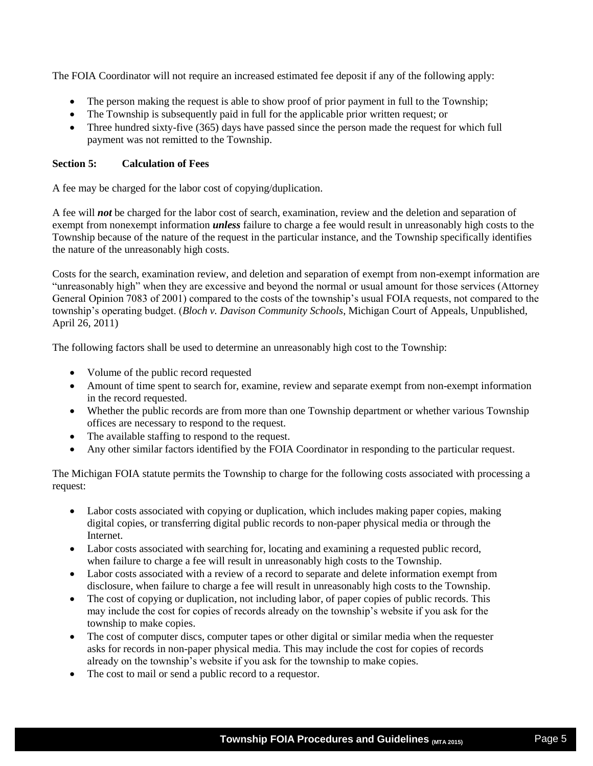The FOIA Coordinator will not require an increased estimated fee deposit if any of the following apply:

- The person making the request is able to show proof of prior payment in full to the Township;
- The Township is subsequently paid in full for the applicable prior written request; or
- Three hundred sixty-five (365) days have passed since the person made the request for which full payment was not remitted to the Township.

### **Section 5: Calculation of Fees**

A fee may be charged for the labor cost of copying/duplication.

A fee will *not* be charged for the labor cost of search, examination, review and the deletion and separation of exempt from nonexempt information *unless* failure to charge a fee would result in unreasonably high costs to the Township because of the nature of the request in the particular instance, and the Township specifically identifies the nature of the unreasonably high costs.

Costs for the search, examination review, and deletion and separation of exempt from non-exempt information are "unreasonably high" when they are excessive and beyond the normal or usual amount for those services (Attorney General Opinion 7083 of 2001) compared to the costs of the township's usual FOIA requests, not compared to the township's operating budget. (*Bloch v. Davison Community Schools*, Michigan Court of Appeals, Unpublished, April 26, 2011)

The following factors shall be used to determine an unreasonably high cost to the Township:

- Volume of the public record requested
- Amount of time spent to search for, examine, review and separate exempt from non-exempt information in the record requested.
- Whether the public records are from more than one Township department or whether various Township offices are necessary to respond to the request.
- The available staffing to respond to the request.
- Any other similar factors identified by the FOIA Coordinator in responding to the particular request.

The Michigan FOIA statute permits the Township to charge for the following costs associated with processing a request:

- Labor costs associated with copying or duplication, which includes making paper copies, making digital copies, or transferring digital public records to non-paper physical media or through the Internet.
- Labor costs associated with searching for, locating and examining a requested public record, when failure to charge a fee will result in unreasonably high costs to the Township.
- Labor costs associated with a review of a record to separate and delete information exempt from disclosure, when failure to charge a fee will result in unreasonably high costs to the Township.
- The cost of copying or duplication, not including labor, of paper copies of public records. This may include the cost for copies of records already on the township's website if you ask for the township to make copies.
- The cost of computer discs, computer tapes or other digital or similar media when the requester asks for records in non-paper physical media. This may include the cost for copies of records already on the township's website if you ask for the township to make copies.
- The cost to mail or send a public record to a requestor.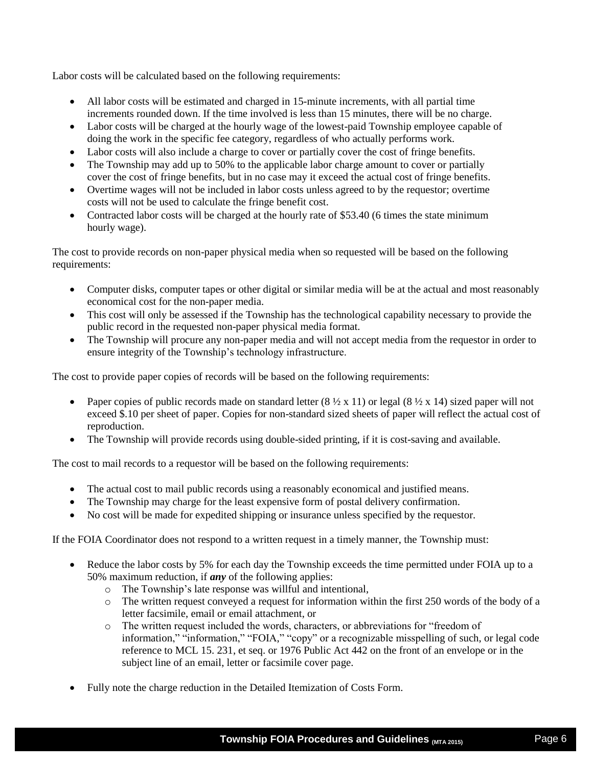Labor costs will be calculated based on the following requirements:

- All labor costs will be estimated and charged in 15-minute increments, with all partial time increments rounded down. If the time involved is less than 15 minutes, there will be no charge.
- Labor costs will be charged at the hourly wage of the lowest-paid Township employee capable of doing the work in the specific fee category, regardless of who actually performs work.
- Labor costs will also include a charge to cover or partially cover the cost of fringe benefits.
- The Township may add up to 50% to the applicable labor charge amount to cover or partially cover the cost of fringe benefits, but in no case may it exceed the actual cost of fringe benefits.
- Overtime wages will not be included in labor costs unless agreed to by the requestor; overtime costs will not be used to calculate the fringe benefit cost.
- Contracted labor costs will be charged at the hourly rate of \$53.40 (6 times the state minimum hourly wage).

The cost to provide records on non-paper physical media when so requested will be based on the following requirements:

- Computer disks, computer tapes or other digital or similar media will be at the actual and most reasonably economical cost for the non-paper media.
- This cost will only be assessed if the Township has the technological capability necessary to provide the public record in the requested non-paper physical media format.
- The Township will procure any non-paper media and will not accept media from the requestor in order to ensure integrity of the Township's technology infrastructure.

The cost to provide paper copies of records will be based on the following requirements:

- Paper copies of public records made on standard letter  $(8 \frac{1}{2} \times 11)$  or legal  $(8 \frac{1}{2} \times 14)$  sized paper will not exceed \$.10 per sheet of paper. Copies for non-standard sized sheets of paper will reflect the actual cost of reproduction.
- The Township will provide records using double-sided printing, if it is cost-saving and available.

The cost to mail records to a requestor will be based on the following requirements:

- The actual cost to mail public records using a reasonably economical and justified means.
- The Township may charge for the least expensive form of postal delivery confirmation.
- No cost will be made for expedited shipping or insurance unless specified by the requestor.

If the FOIA Coordinator does not respond to a written request in a timely manner, the Township must:

- Reduce the labor costs by 5% for each day the Township exceeds the time permitted under FOIA up to a 50% maximum reduction, if *any* of the following applies:
	- o The Township's late response was willful and intentional,
	- o The written request conveyed a request for information within the first 250 words of the body of a letter facsimile, email or email attachment, or
	- o The written request included the words, characters, or abbreviations for "freedom of information," "information," "FOIA," "copy" or a recognizable misspelling of such, or legal code reference to MCL 15. 231, et seq. or 1976 Public Act 442 on the front of an envelope or in the subject line of an email, letter or facsimile cover page.
- Fully note the charge reduction in the Detailed Itemization of Costs Form.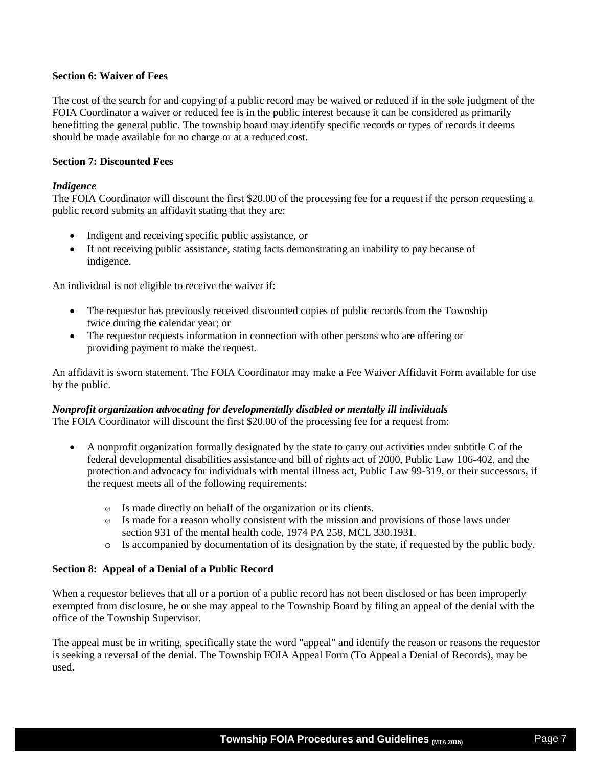#### **Section 6: Waiver of Fees**

The cost of the search for and copying of a public record may be waived or reduced if in the sole judgment of the FOIA Coordinator a waiver or reduced fee is in the public interest because it can be considered as primarily benefitting the general public. The township board may identify specific records or types of records it deems should be made available for no charge or at a reduced cost.

### **Section 7: Discounted Fees**

#### *Indigence*

The FOIA Coordinator will discount the first \$20.00 of the processing fee for a request if the person requesting a public record submits an affidavit stating that they are:

- Indigent and receiving specific public assistance, or
- If not receiving public assistance, stating facts demonstrating an inability to pay because of indigence.

An individual is not eligible to receive the waiver if:

- The requestor has previously received discounted copies of public records from the Township twice during the calendar year; or
- The requestor requests information in connection with other persons who are offering or providing payment to make the request.

An affidavit is sworn statement. The FOIA Coordinator may make a Fee Waiver Affidavit Form available for use by the public.

# *Nonprofit organization advocating for developmentally disabled or mentally ill individuals*

The FOIA Coordinator will discount the first \$20.00 of the processing fee for a request from:

- A nonprofit organization formally designated by the state to carry out activities under subtitle C of the federal developmental disabilities assistance and bill of rights act of 2000, Public Law 106-402, and the protection and advocacy for individuals with mental illness act, Public Law 99-319, or their successors, if the request meets all of the following requirements:
	- o Is made directly on behalf of the organization or its clients.
	- o Is made for a reason wholly consistent with the mission and provisions of those laws under section 931 of the mental health code, 1974 PA 258, MCL 330.1931.
	- o Is accompanied by documentation of its designation by the state, if requested by the public body.

# **Section 8: Appeal of a Denial of a Public Record**

When a requestor believes that all or a portion of a public record has not been disclosed or has been improperly exempted from disclosure, he or she may appeal to the Township Board by filing an appeal of the denial with the office of the Township Supervisor.

The appeal must be in writing, specifically state the word "appeal" and identify the reason or reasons the requestor is seeking a reversal of the denial. The Township FOIA Appeal Form (To Appeal a Denial of Records), may be used.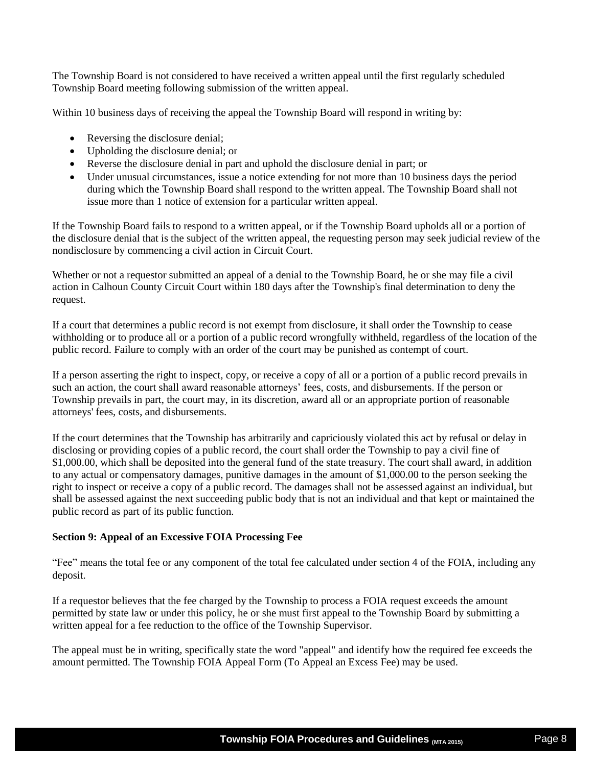The Township Board is not considered to have received a written appeal until the first regularly scheduled Township Board meeting following submission of the written appeal.

Within 10 business days of receiving the appeal the Township Board will respond in writing by:

- Reversing the disclosure denial;
- Upholding the disclosure denial; or
- Reverse the disclosure denial in part and uphold the disclosure denial in part; or
- Under unusual circumstances, issue a notice extending for not more than 10 business days the period during which the Township Board shall respond to the written appeal. The Township Board shall not issue more than 1 notice of extension for a particular written appeal.

If the Township Board fails to respond to a written appeal, or if the Township Board upholds all or a portion of the disclosure denial that is the subject of the written appeal, the requesting person may seek judicial review of the nondisclosure by commencing a civil action in Circuit Court.

Whether or not a requestor submitted an appeal of a denial to the Township Board, he or she may file a civil action in Calhoun County Circuit Court within 180 days after the Township's final determination to deny the request.

If a court that determines a public record is not exempt from disclosure, it shall order the Township to cease withholding or to produce all or a portion of a public record wrongfully withheld, regardless of the location of the public record. Failure to comply with an order of the court may be punished as contempt of court.

If a person asserting the right to inspect, copy, or receive a copy of all or a portion of a public record prevails in such an action, the court shall award reasonable attorneys' fees, costs, and disbursements. If the person or Township prevails in part, the court may, in its discretion, award all or an appropriate portion of reasonable attorneys' fees, costs, and disbursements.

If the court determines that the Township has arbitrarily and capriciously violated this act by refusal or delay in disclosing or providing copies of a public record, the court shall order the Township to pay a civil fine of \$1,000.00, which shall be deposited into the general fund of the state treasury. The court shall award, in addition to any actual or compensatory damages, punitive damages in the amount of \$1,000.00 to the person seeking the right to inspect or receive a copy of a public record. The damages shall not be assessed against an individual, but shall be assessed against the next succeeding public body that is not an individual and that kept or maintained the public record as part of its public function.

# **Section 9: Appeal of an Excessive FOIA Processing Fee**

"Fee" means the total fee or any component of the total fee calculated under section 4 of the FOIA, including any deposit.

If a requestor believes that the fee charged by the Township to process a FOIA request exceeds the amount permitted by state law or under this policy, he or she must first appeal to the Township Board by submitting a written appeal for a fee reduction to the office of the Township Supervisor.

The appeal must be in writing, specifically state the word "appeal" and identify how the required fee exceeds the amount permitted. The Township FOIA Appeal Form (To Appeal an Excess Fee) may be used.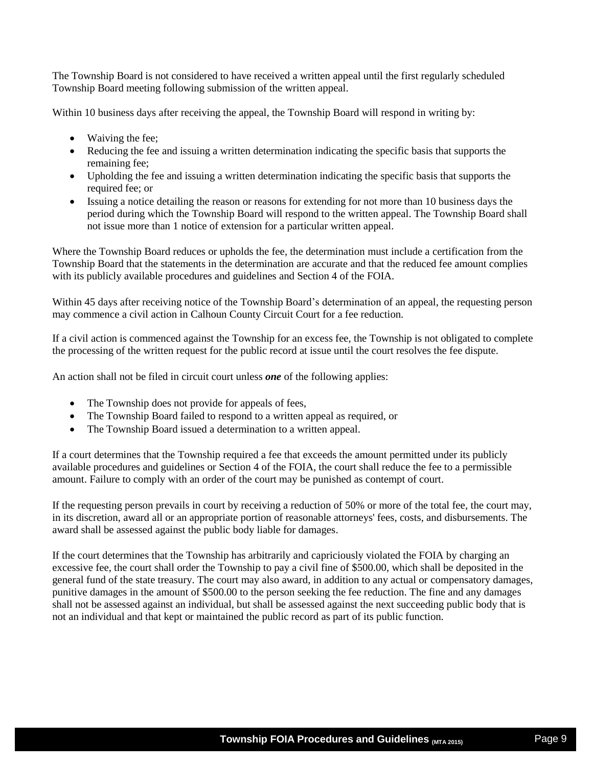The Township Board is not considered to have received a written appeal until the first regularly scheduled Township Board meeting following submission of the written appeal.

Within 10 business days after receiving the appeal, the Township Board will respond in writing by:

- Waiving the fee;
- Reducing the fee and issuing a written determination indicating the specific basis that supports the remaining fee;
- Upholding the fee and issuing a written determination indicating the specific basis that supports the required fee; or
- Issuing a notice detailing the reason or reasons for extending for not more than 10 business days the period during which the Township Board will respond to the written appeal. The Township Board shall not issue more than 1 notice of extension for a particular written appeal.

Where the Township Board reduces or upholds the fee, the determination must include a certification from the Township Board that the statements in the determination are accurate and that the reduced fee amount complies with its publicly available procedures and guidelines and Section 4 of the FOIA.

Within 45 days after receiving notice of the Township Board's determination of an appeal, the requesting person may commence a civil action in Calhoun County Circuit Court for a fee reduction.

If a civil action is commenced against the Township for an excess fee, the Township is not obligated to complete the processing of the written request for the public record at issue until the court resolves the fee dispute.

An action shall not be filed in circuit court unless *one* of the following applies:

- The Township does not provide for appeals of fees,
- The Township Board failed to respond to a written appeal as required, or
- The Township Board issued a determination to a written appeal.

If a court determines that the Township required a fee that exceeds the amount permitted under its publicly available procedures and guidelines or Section 4 of the FOIA, the court shall reduce the fee to a permissible amount. Failure to comply with an order of the court may be punished as contempt of court.

If the requesting person prevails in court by receiving a reduction of 50% or more of the total fee, the court may, in its discretion, award all or an appropriate portion of reasonable attorneys' fees, costs, and disbursements. The award shall be assessed against the public body liable for damages.

If the court determines that the Township has arbitrarily and capriciously violated the FOIA by charging an excessive fee, the court shall order the Township to pay a civil fine of \$500.00, which shall be deposited in the general fund of the state treasury. The court may also award, in addition to any actual or compensatory damages, punitive damages in the amount of \$500.00 to the person seeking the fee reduction. The fine and any damages shall not be assessed against an individual, but shall be assessed against the next succeeding public body that is not an individual and that kept or maintained the public record as part of its public function.